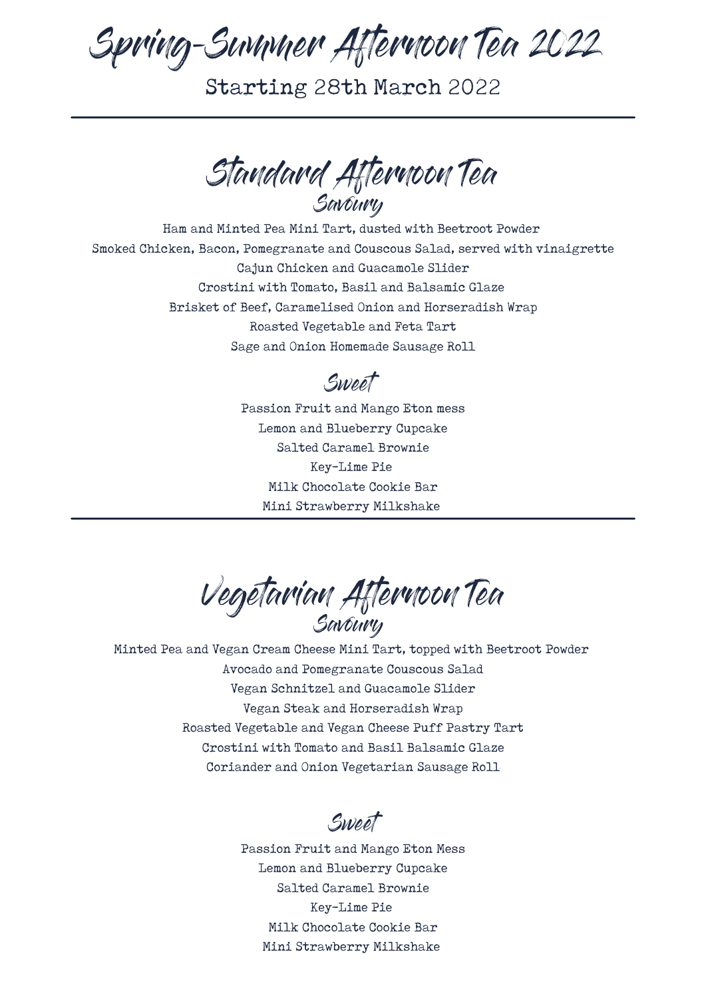Spring-Summer Afternoon Tea 2022

Starting 28th March 2022

Standard Afternoon Tea Savoury

Ham and Minted Pea Mini Tart, dusted with Beetroot Powder Smoked Chicken, Bacon, Pomegranate and Couscous Salad, served with vinaigrette Cajun Chicken and Guacamole Slider Crostini with Tomato, Basil and Balsamic Glaze Brisket of Beef, Caramelised Onion and Horseradish Wrap Roasted Vegetable and Feta Tart Sage and Onion Homemade Sausage Roll

Sweet

Passion Fruit and Mango Eton mess Lemon and Blueberry Cupcake Salted Caramel Brownie Key-Lime Pie Milk Chocolate Cookie Bar Mini Strawberry Milkshake

Vegetarian Afternoon Tea Savoury

Minted Pea and Vegan Cream Cheese Mini Tart, topped with Beetroot Powder Avocado and Pomegranate Couscous Salad Vegan Schnitzel and Guacamole Slider Vegan Steak and Horseradish Wrap Roasted Vegetable and Vegan Cheese Puff Pastry Tart Crostini with Tomato and Basil Balsamic Glaze Coriander and Onion Vegetarian Sausage Roll

Sweet

Passion Fruit and Mango Eton Mess Lemon and Blueberry Cupcake Salted Caramel Brownie Key-Lime Pie Milk Chocolate Cookie Bar Mini Strawberry Milkshake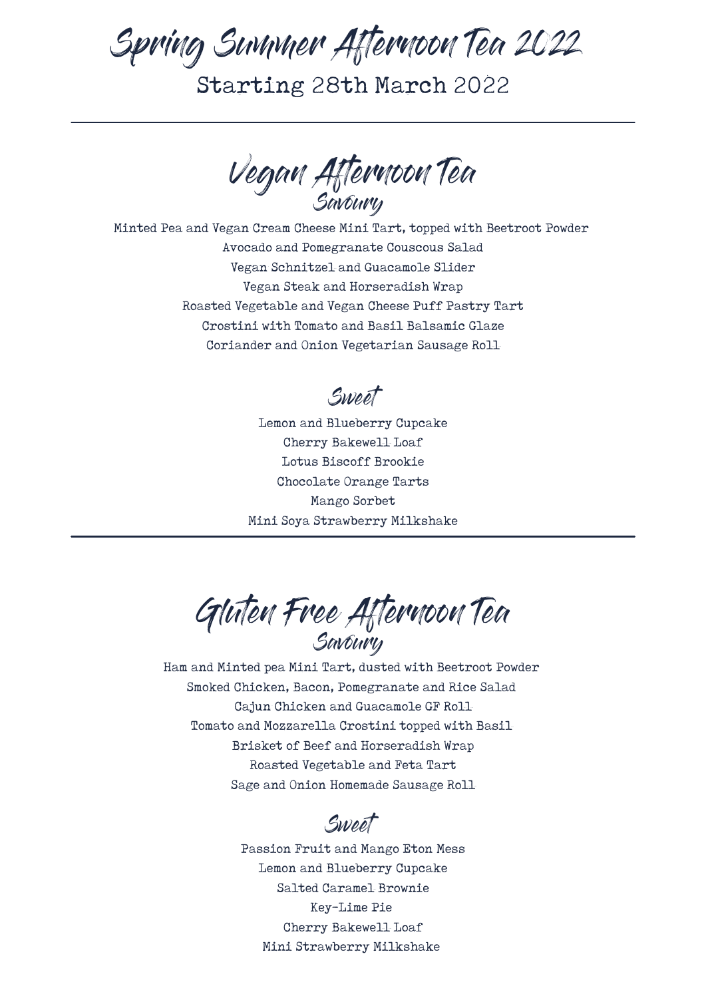## Spring Summer Afternoon Tea 2022 Starting 28th March 2022

Vegan Afternoon Tea Savoury

Minted Pea and Vegan Cream Cheese Mini Tart, topped with Beetroot Powder Avocado and Pomegranate Couscous Salad Vegan Schnitzel and Guacamole Slider Vegan Steak and Horseradish Wrap Roasted Vegetable and Vegan Cheese Puff Pastry Tart Crostini with Tomato and Basil Balsamic Glaze Coriander and Onion Vegetarian Sausage Roll

Sweet

Lemon and Blueberry Cupcake Cherry Bakewell Loaf Lotus Biscoff Brookie Chocolate Orange Tarts Mango Sorbet Mini Soya Strawberry Milkshake

Gluten Free Afternoon Tea Savoury

Ham and Minted pea Mini Tart, dusted with Beetroot Powder Smoked Chicken, Bacon, Pomegranate and Rice Salad Cajun Chicken and Guacamole GF Roll Tomato and Mozzarella Crostini topped with Basil Brisket of Beef and Horseradish Wrap Roasted Vegetable and Feta Tart Sage and Onion Homemade Sausage Roll

Sweet

Passion Fruit and Mango Eton Mess Lemon and Blueberry Cupcake Salted Caramel Brownie Key-Lime Pie Cherry Bakewell Loaf Mini Strawberry Milkshake